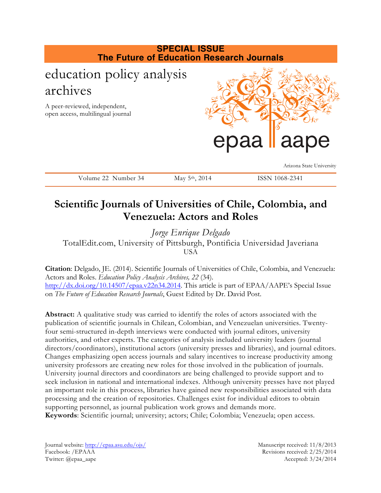

# **Scientific Journals of Universities of Chile, Colombia, and Venezuela: Actors and Roles**

*Jorge Enrique Delgado* TotalEdit.com, University of Pittsburgh, Pontificia Universidad Javeriana USA

**Citation**: Delgado, JE. (2014). Scientific Journals of Universities of Chile, Colombia, and Venezuela: Actors and Roles. *Education Policy Analysis Archives, 22* (34). http://dx.doi.org/10.14507/epaa.v22n34.2014. This article is part of EPAA/AAPE's Special Issue on *The Future of Education Research Journals*, Guest Edited by Dr. David Post.

**Abstract:** A qualitative study was carried to identify the roles of actors associated with the publication of scientific journals in Chilean, Colombian, and Venezuelan universities. Twentyfour semi-structured in-depth interviews were conducted with journal editors, university authorities, and other experts. The categories of analysis included university leaders (journal directors/coordinators), institutional actors (university presses and libraries), and journal editors. Changes emphasizing open access journals and salary incentives to increase productivity among university professors are creating new roles for those involved in the publication of journals. University journal directors and coordinators are being challenged to provide support and to seek inclusion in national and international indexes. Although university presses have not played an important role in this process, libraries have gained new responsibilities associated with data processing and the creation of repositories. Challenges exist for individual editors to obtain supporting personnel, as journal publication work grows and demands more. **Keywords**: Scientific journal; university; actors; Chile; Colombia; Venezuela; open access.

Journal website: http://epaa.asu.edu/ojs/ Manuscript received: 11/8/2013 Facebook: /EPAAA Revisions received: 2/25/2014 Twitter: @epaa\_aape Accepted: 3/24/2014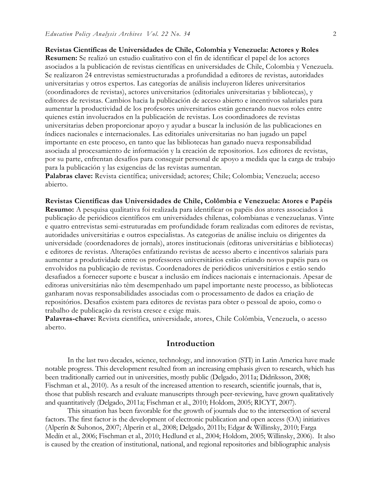**Revistas Científicas de Universidades de Chile, Colombia y Venezuela: Actores y Roles**

**Resumen:** Se realizó un estudio cualitativo con el fin de identificar el papel de los actores asociados a la publicación de revistas científicas en universidades de Chile, Colombia y Venezuela. Se realizaron 24 entrevistas semiestructuradas a profundidad a editores de revistas, autoridades universitarias y otros expertos. Las categorías de análisis incluyeron líderes universitarios (coordinadores de revistas), actores universitarios (editoriales universitarias y bibliotecas), y editores de revistas. Cambios hacia la publicación de acceso abierto e incentivos salariales para aumentar la productividad de los profesores universitarios están generando nuevos roles entre quienes están involucrados en la publicación de revistas. Los coordinadores de revistas universitarias deben proporcionar apoyo y ayudar a buscar la inclusión de las publicaciones en índices nacionales e internacionales. Las editoriales universitarias no han jugado un papel importante en este proceso, en tanto que las bibliotecas han ganado nueva responsabilidad asociada al procesamiento de información y la creación de repositorios. Los editores de revistas, por su parte, enfrentan desafíos para conseguir personal de apoyo a medida que la carga de trabajo para la publicación y las exigencias de las revistas aumentan.

**Palabras clave:** Revista científica; universidad; actores; Chile; Colombia; Venezuela; acceso abierto.

**Revistas Científicas das Universidades de Chile, Colômbia e Venezuela: Atores e Papéis Resumo:** A pesquisa qualitativa foi realizada para identificar os papéis dos atores associados à publicação de periódicos científicos em universidades chilenas, colombianas e venezuelanas. Vinte e quatro entrevistas semi-estruturadas em profundidade foram realizadas com editores de revistas, autoridades universitárias e outros especialistas. As categorias de análise incluiu os dirigentes da universidade (coordenadores de jornals), atores institucionais (editoras universitárias e bibliotecas) e editores de revistas. Alterações enfatizando revistas de acesso aberto e incentivos salariais para aumentar a produtividade entre os professores universitários estão criando novos papéis para os envolvidos na publicação de revistas. Coordenadores de periódicos universitários e estão sendo desafiados a fornecer suporte e buscar a inclusão em índices nacionais e internacionais. Apesar de editoras universitárias não têm desempenhado um papel importante neste processo, as bibliotecas ganharam novas responsabilidades associadas com o processamento de dados ea criação de repositórios. Desafios existem para editores de revistas para obter o pessoal de apoio, como o trabalho de publicação da revista cresce e exige mais.

**Palavras-chave:** Revista científica, universidade, atores, Chile Colômbia, Venezuela, o acesso aberto.

## **Introduction**

In the last two decades, science, technology, and innovation (STI) in Latin America have made notable progress. This development resulted from an increasing emphasis given to research, which has been traditionally carried out in universities, mostly public (Delgado, 2011a; Didriksson, 2008; Fischman et al., 2010). As a result of the increased attention to research, scientific journals, that is, those that publish research and evaluate manuscripts through peer-reviewing, have grown qualitatively and quantitatively (Delgado, 2011a; Fischman et al., 2010; Holdom, 2005; RICYT, 2007).

This situation has been favorable for the growth of journals due to the intersection of several factors. The first factor is the development of electronic publication and open access (OA) initiatives (Alperín & Suhonos, 2007; Alperín et al., 2008; Delgado, 2011b; Edgar & Willinsky, 2010; Farga Medín et al., 2006; Fischman et al., 2010; Hedlund et al., 2004; Holdom, 2005; Willinsky, 2006). It also is caused by the creation of institutional, national, and regional repositories and bibliographic analysis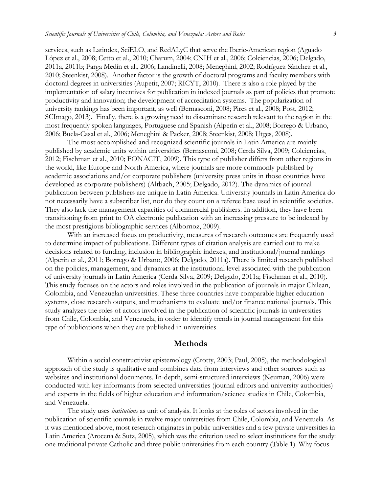services, such as Latindex, SciELO, and RedALyC that serve the Iberic-American region (Aguado López et al., 2008; Cetto et al., 2010; Charum, 2004; CNIH et al., 2006; Colciencias, 2006; Delgado, 2011a, 2011b; Farga Medín et al., 2006; Landinelli, 2008; Meneghini, 2002; Rodríguez Sánchez et al., 2010; Steenkist, 2008). Another factor is the growth of doctoral programs and faculty members with doctoral degrees in universities (Aupetit, 2007; RICYT, 2010). There is also a role played by the implementation of salary incentives for publication in indexed journals as part of policies that promote productivity and innovation; the development of accreditation systems. The popularization of university rankings has been important, as well (Bernasconi, 2008; Pires et al., 2008; Post, 2012; SCImago, 2013). Finally, there is a growing need to disseminate research relevant to the region in the most frequently spoken languages, Portuguese and Spanish (Alperín et al., 2008; Borrego & Urbano, 2006; Buela-Casal et al., 2006; Meneghini & Packer, 2008; Steenkist, 2008; Utges, 2008).

The most accomplished and recognized scientific journals in Latin America are mainly published by academic units within universities (Bernasconi, 2008; Cerda Silva, 2009; Colciencias, 2012; Fischman et al., 2010; FONACIT, 2009). This type of publisher differs from other regions in the world, like Europe and North America, where journals are more commonly published by academic associations and/or corporate publishers (university press units in those countries have developed as corporate publishers) (Altbach, 2005; Delgado, 2012). The dynamics of journal publication between publishers are unique in Latin America. University journals in Latin America do not necessarily have a subscriber list, nor do they count on a referee base used in scientific societies. They also lack the management capacities of commercial publishers. In addition, they have been transitioning from print to OA electronic publication with an increasing pressure to be indexed by the most prestigious bibliographic services (Albornoz, 2009).

With an increased focus on productivity, measures of research outcomes are frequently used to determine impact of publications. Different types of citation analysis are carried out to make decisions related to funding, inclusion in bibliographic indexes, and institutional/journal rankings (Alperin et al., 2011; Borrego & Urbano, 2006; Delgado, 2011a). There is limited research published on the policies, management, and dynamics at the institutional level associated with the publication of university journals in Latin America (Cerda Silva, 2009; Delgado, 2011a; Fischman et al., 2010). This study focuses on the actors and roles involved in the publication of journals in major Chilean, Colombia, and Venezuelan universities. These three countries have comparable higher education systems, close research outputs, and mechanisms to evaluate and/or finance national journals. This study analyzes the roles of actors involved in the publication of scientific journals in universities from Chile, Colombia, and Venezuela, in order to identify trends in journal management for this type of publications when they are published in universities.

#### **Methods**

Within a social constructivist epistemology (Crotty, 2003; Paul, 2005), the methodological approach of the study is qualitative and combines data from interviews and other sources such as websites and institutional documents. In-depth, semi-structured interviews (Neuman, 2006) were conducted with key informants from selected universities (journal editors and university authorities) and experts in the fields of higher education and information/science studies in Chile, Colombia, and Venezuela.

The study uses *institutions* as unit of analysis. It looks at the roles of actors involved in the publication of scientific journals in twelve major universities from Chile, Colombia, and Venezuela. As it was mentioned above, most research originates in public universities and a few private universities in Latin America (Arocena & Sutz, 2005), which was the criterion used to select institutions for the study: one traditional private Catholic and three public universities from each country (Table 1). Why focus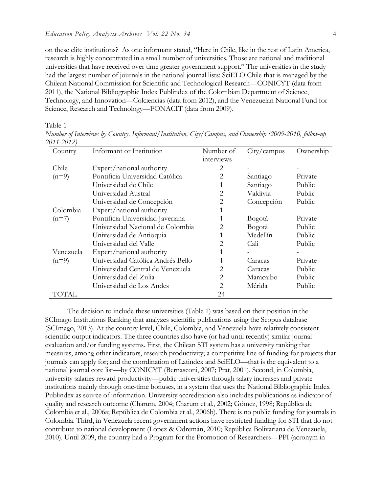on these elite institutions? As one informant stated, "Here in Chile, like in the rest of Latin America, research is highly concentrated in a small number of universities. Those are national and traditional universities that have received over time greater government support." The universities in the study had the largest number of journals in the national journal lists: SciELO Chile that is managed by the Chilean National Commission for Scientific and Technological Research—CONICYT (data from 2011), the National Bibliographic Index Publindex of the Colombian Department of Science, Technology, and Innovation—Colciencias (data from 2012), and the Venezuelan National Fund for Science, Research and Technology—FONACIT (data from 2009).

Table 1

*Number of Interviews by Country, Informant/Institution, City/Campus, and Ownership (2009-2010, follow-up 2011-2012)*

| Country   | Informant or Institution          | Number of<br>interviews | City/campus | Ownership |
|-----------|-----------------------------------|-------------------------|-------------|-----------|
| Chile     | Expert/national authority         | 2                       |             |           |
| $(n=9)$   | Pontificia Universidad Católica   | 2                       | Santiago    | Private   |
|           | Universidad de Chile              |                         | Santiago    | Public    |
|           | Universidad Austral               | 2                       | Valdivia    | Public    |
|           | Universidad de Concepción         | $\overline{2}$          | Concepción  | Public    |
| Colombia  | Expert/national authority         |                         |             |           |
| $(n=7)$   | Pontificia Universidad Javeriana  |                         | Bogotá      | Private   |
|           | Universidad Nacional de Colombia  | $\overline{2}$          | Bogotá      | Public    |
|           | Universidad de Antioquia          |                         | Medellín    | Public    |
|           | Universidad del Valle             | 2                       | Cali        | Public    |
| Venezuela | Expert/national authority         |                         |             |           |
| $(n=9)$   | Universidad Católica Andrés Bello |                         | Caracas     | Private   |
|           | Universidad Central de Venezuela  | 2                       | Caracas     | Public    |
|           | Universidad del Zulia             | 2                       | Maracaibo   | Public    |
|           | Universidad de Los Andes          | 2                       | Mérida      | Public    |
| TOTAL     |                                   | 24                      |             |           |

The decision to include these universities (Table 1) was based on their position in the SCImago Institutions Ranking that analyzes scientific publications using the Scopus database (SCImago, 2013). At the country level, Chile, Colombia, and Venezuela have relatively consistent scientific output indicators. The three countries also have (or had until recently) similar journal evaluation and/or funding systems. First, the Chilean STI system has a university ranking that measures, among other indicators, research productivity; a competitive line of funding for projects that journals can apply for; and the coordination of Latindex and SciELO—that is the equivalent to a national journal core list—by CONICYT (Bernasconi, 2007; Prat, 2001). Second, in Colombia, university salaries reward productivity—public universities through salary increases and private institutions mainly through one-time bonuses, in a system that uses the National Bibliographic Index Publindex as source of information. University accreditation also includes publications as indicator of quality and research outcome (Charum, 2004; Charum et al., 2002; Gómez, 1998; República de Colombia et al., 2006a; República de Colombia et al., 2006b). There is no public funding for journals in Colombia. Third, in Venezuela recent government actions have restricted funding for STI that do not contribute to national development (López & Odremán, 2010; República Bolivariana de Venezuela, 2010). Until 2009, the country had a Program for the Promotion of Researchers—PPI (acronym in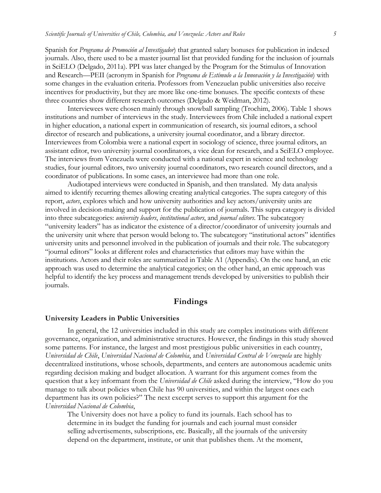Spanish for *Programa de Promoción al Investigador*) that granted salary bonuses for publication in indexed journals. Also, there used to be a master journal list that provided funding for the inclusion of journals in SciELO (Delgado, 2011a). PPI was later changed by the Program for the Stimulus of Innovation and Research—PEII (acronym in Spanish for *Programa de Estímulo a la Innovación y la Investigación*) with some changes in the evaluation criteria. Professors from Venezuelan public universities also receive incentives for productivity, but they are more like one-time bonuses. The specific contexts of these three countries show different research outcomes (Delgado & Weidman, 2012).

Interviewees were chosen mainly through snowball sampling (Trochim, 2006). Table 1 shows institutions and number of interviews in the study. Interviewees from Chile included a national expert in higher education, a national expert in communication of research, six journal editors, a school director of research and publications, a university journal coordinator, and a library director. Interviewees from Colombia were a national expert in sociology of science, three journal editors, an assistant editor, two university journal coordinators, a vice dean for research, and a SciELO employee. The interviews from Venezuela were conducted with a national expert in science and technology studies, four journal editors, two university journal coordinators, two research council directors, and a coordinator of publications. In some cases, an interviewee had more than one role.

Audiotaped interviews were conducted in Spanish, and then translated. My data analysis aimed to identify recurring themes allowing creating analytical categories. The supra category of this report, *actors*, explores which and how university authorities and key actors/university units are involved in decision-making and support for the publication of journals. This supra category is divided into three subcategories: *university leaders*, *institutional actors*, and *journal editors*. The subcategory "university leaders" has as indicator the existence of a director/coordinator of university journals and the university unit where that person would belong to. The subcategory "institutional actors" identifies university units and personnel involved in the publication of journals and their role. The subcategory "journal editors" looks at different roles and characteristics that editors may have within the institutions. Actors and their roles are summarized in Table A1 (Appendix). On the one hand, an etic approach was used to determine the analytical categories; on the other hand, an emic approach was helpful to identify the key process and management trends developed by universities to publish their journals.

## **Findings**

#### **University Leaders in Public Universities**

In general, the 12 universities included in this study are complex institutions with different governance, organization, and administrative structures. However, the findings in this study showed some patterns. For instance, the largest and most prestigious public universities in each country, *Universidad de Chile*, *Universidad Nacional de Colombia*, and *Universidad Central de Venezuela* are highly decentralized institutions, whose schools, departments, and centers are autonomous academic units regarding decision making and budget allocation. A warrant for this argument comes from the question that a key informant from the *Universidad de Chile* asked during the interview, "How do you manage to talk about policies when Chile has 90 universities, and within the largest ones each department has its own policies?" The next excerpt serves to support this argument for the *Universidad Nacional de Colombia*,

The University does not have a policy to fund its journals. Each school has to determine in its budget the funding for journals and each journal must consider selling advertisements, subscriptions, etc. Basically, all the journals of the university depend on the department, institute, or unit that publishes them. At the moment,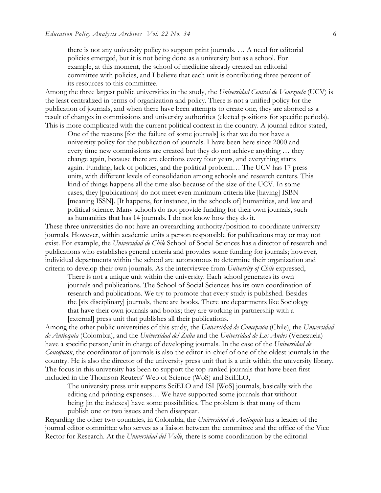there is not any university policy to support print journals. … A need for editorial policies emerged, but it is not being done as a university but as a school. For example, at this moment, the school of medicine already created an editorial committee with policies, and I believe that each unit is contributing three percent of its resources to this committee.

Among the three largest public universities in the study, the *Universidad Central de Venezuela* (UCV) is the least centralized in terms of organization and policy. There is not a unified policy for the publication of journals, and when there have been attempts to create one, they are aborted as a result of changes in commissions and university authorities (elected positions for specific periods). This is more complicated with the current political context in the country. A journal editor stated,

One of the reasons [for the failure of some journals] is that we do not have a university policy for the publication of journals. I have been here since 2000 and every time new commissions are created but they do not achieve anything … they change again, because there are elections every four years, and everything starts again. Funding, lack of policies, and the political problem… The UCV has 17 press units, with different levels of consolidation among schools and research centers. This kind of things happens all the time also because of the size of the UCV. In some cases, they [publications] do not meet even minimum criteria like [having] ISBN [meaning ISSN]. [It happens, for instance, in the schools of] humanities, and law and political science. Many schools do not provide funding for their own journals, such as humanities that has 14 journals. I do not know how they do it.

These three universities do not have an overarching authority/position to coordinate university journals. However, within academic units a person responsible for publications may or may not exist. For example, the *Universidad de Chile* School of Social Sciences has a director of research and publications who establishes general criteria and provides some funding for journals; however, individual departments within the school are autonomous to determine their organization and criteria to develop their own journals. As the interviewee from *University of Chile* expressed,

There is not a unique unit within the university. Each school generates its own journals and publications. The School of Social Sciences has its own coordination of research and publications. We try to promote that every study is published. Besides the [six disciplinary] journals, there are books. There are departments like Sociology that have their own journals and books; they are working in partnership with a [external] press unit that publishes all their publications.

Among the other public universities of this study, the *Universidad de Concepción* (Chile), the *Universidad de Antioquia* (Colombia), and the *Universidad del Zulia* and the *Universidad de Los Andes* (Venezuela) have a specific person/unit in charge of developing journals. In the case of the *Universidad de Concepción*, the coordinator of journals is also the editor-in-chief of one of the oldest journals in the country. He is also the director of the university press unit that is a unit within the university library. The focus in this university has been to support the top-ranked journals that have been first included in the Thomson Reuters' Web of Science (WoS) and SciELO,

The university press unit supports SciELO and ISI [WoS] journals, basically with the editing and printing expenses… We have supported some journals that without being [in the indexes] have some possibilities. The problem is that many of them publish one or two issues and then disappear.

Regarding the other two countries, in Colombia, the *Universidad de Antioquia* has a leader of the journal editor committee who serves as a liaison between the committee and the office of the Vice Rector for Research. At the *Universidad del Valle*, there is some coordination by the editorial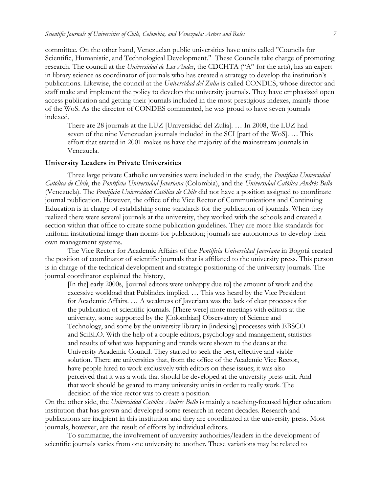committee. On the other hand, Venezuelan public universities have units called "Councils for Scientific, Humanistic, and Technological Development." These Councils take charge of promoting research. The council at the *Universidad de Los Andes*, the CDCHTA ("A" for the arts), has an expert in library science as coordinator of journals who has created a strategy to develop the institution's publications. Likewise, the council at the *Universidad del Zulia* is called CONDES, whose director and staff make and implement the policy to develop the university journals. They have emphasized open access publication and getting their journals included in the most prestigious indexes, mainly those of the WoS. As the director of CONDES commented, he was proud to have seven journals indexed,

There are 28 journals at the LUZ [Universidad del Zulia]. … In 2008, the LUZ had seven of the nine Venezuelan journals included in the SCI [part of the WoS]. … This effort that started in 2001 makes us have the majority of the mainstream journals in Venezuela.

#### **University Leaders in Private Universities**

Three large private Catholic universities were included in the study, the *Pontificia Universidad Católica de Chile*, the *Pontificia Universidad Javeriana* (Colombia), and the *Universidad Católica Andrés Bello* (Venezuela). The *Pontificia Universidad Católica de Chile* did not have a position assigned to coordinate journal publication. However, the office of the Vice Rector of Communications and Continuing Education is in charge of establishing some standards for the publication of journals. When they realized there were several journals at the university, they worked with the schools and created a section within that office to create some publication guidelines. They are more like standards for uniform institutional image than norms for publication; journals are autonomous to develop their own management systems.

The Vice Rector for Academic Affairs of the *Pontificia Universidad Javeriana* in Bogotá created the position of coordinator of scientific journals that is affiliated to the university press. This person is in charge of the technical development and strategic positioning of the university journals. The journal coordinator explained the history,

[In the] early 2000s, [journal editors were unhappy due to] the amount of work and the excessive workload that Publindex implied. … This was heard by the Vice President for Academic Affairs. … A weakness of Javeriana was the lack of clear processes for the publication of scientific journals. [There were] more meetings with editors at the university, some supported by the [Colombian] Observatory of Science and Technology, and some by the university library in [indexing] processes with EBSCO and SciELO. With the help of a couple editors, psychology and management, statistics and results of what was happening and trends were shown to the deans at the University Academic Council. They started to seek the best, effective and viable solution. There are universities that, from the office of the Academic Vice Rector, have people hired to work exclusively with editors on these issues; it was also perceived that it was a work that should be developed at the university press unit. And that work should be geared to many university units in order to really work. The decision of the vice rector was to create a position.

On the other side, the *Universidad Católica Andrés Bello* is mainly a teaching-focused higher education institution that has grown and developed some research in recent decades. Research and publications are incipient in this institution and they are coordinated at the university press. Most journals, however, are the result of efforts by individual editors.

To summarize, the involvement of university authorities/leaders in the development of scientific journals varies from one university to another. These variations may be related to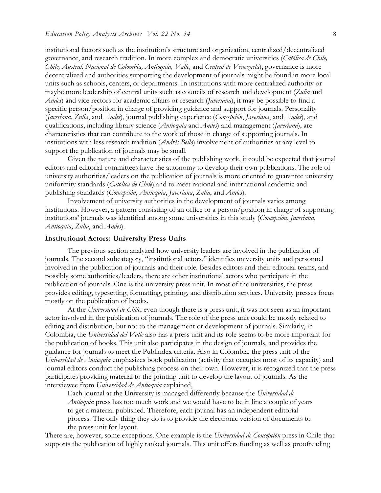institutional factors such as the institution's structure and organization, centralized/decentralized governance, and research tradition. In more complex and democratic universities (*Católica de Chile, Chile, Austral, Nacional de Colombia, Antioquia, Valle,* and *Central de Venezuela*), governance is more decentralized and authorities supporting the development of journals might be found in more local units such as schools, centers, or departments. In institutions with more centralized authority or maybe more leadership of central units such as councils of research and development (*Zulia* and *Andes*) and vice rectors for academic affairs or research (*Javeriana*), it may be possible to find a specific person/position in charge of providing guidance and support for journals. Personality (*Javeriana*, *Zulia*, and *Andes*), journal publishing experience (*Concepción*, *Javeriana*, and *Andes*), and qualifications, including library science (*Antioquia* and *Andes*) and management (*Javeriana*), are characteristics that can contribute to the work of those in charge of supporting journals. In institutions with less research tradition (*Andrés Bello*) involvement of authorities at any level to support the publication of journals may be small.

Given the nature and characteristics of the publishing work, it could be expected that journal editors and editorial committees have the autonomy to develop their own publications. The role of university authorities/leaders on the publication of journals is more oriented to guarantee university uniformity standards (*Católica de Chile*) and to meet national and international academic and publishing standards (*Concepción*, *Antioquia*, *Javeriana*, *Zulia*, and *Andes*).

Involvement of university authorities in the development of journals varies among institutions. However, a pattern consisting of an office or a person/position in charge of supporting institutions' journals was identified among some universities in this study (*Concepción*, *Javeriana*, *Antioquia*, *Zulia*, and *Andes*).

#### **Institutional Actors: University Press Units**

The previous section analyzed how university leaders are involved in the publication of journals. The second subcategory, "institutional actors," identifies university units and personnel involved in the publication of journals and their role. Besides editors and their editorial teams, and possibly some authorities/leaders, there are other institutional actors who participate in the publication of journals. One is the university press unit. In most of the universities, the press provides editing, typesetting, formatting, printing, and distribution services. University presses focus mostly on the publication of books.

At the *Universidad de Chile*, even though there is a press unit, it was not seen as an important actor involved in the publication of journals. The role of the press unit could be mostly related to editing and distribution, but not to the management or development of journals. Similarly, in Colombia, the *Universidad del Valle* also has a press unit and its role seems to be more important for the publication of books. This unit also participates in the design of journals, and provides the guidance for journals to meet the Publindex criteria. Also in Colombia, the press unit of the *Universidad de Antioquia* emphasizes book publication (activity that occupies most of its capacity) and journal editors conduct the publishing process on their own. However, it is recognized that the press participates providing material to the printing unit to develop the layout of journals. As the interviewee from *Universidad de Antioquia* explained,

Each journal at the University is managed differently because the *Universidad de Antioquia* press has too much work and we would have to be in line a couple of years to get a material published. Therefore, each journal has an independent editorial process. The only thing they do is to provide the electronic version of documents to the press unit for layout.

There are, however, some exceptions. One example is the *Universidad de Concepción* press in Chile that supports the publication of highly ranked journals. This unit offers funding as well as proofreading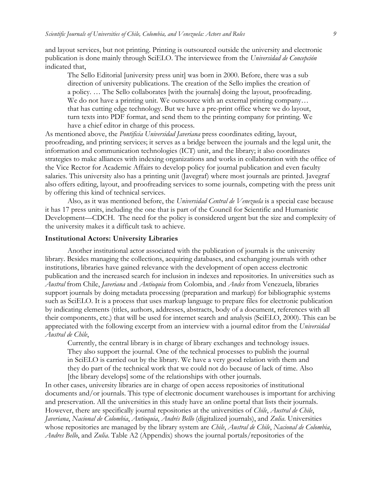and layout services, but not printing. Printing is outsourced outside the university and electronic publication is done mainly through SciELO. The interviewee from the *Universidad de Concepción*  indicated that,

The Sello Editorial [university press unit] was born in 2000. Before, there was a sub direction of university publications. The creation of the Sello implies the creation of a policy. … The Sello collaborates [with the journals] doing the layout, proofreading. We do not have a printing unit. We outsource with an external printing company... that has cutting edge technology. But we have a pre-print office where we do layout, turn texts into PDF format, and send them to the printing company for printing. We have a chief editor in charge of this process.

As mentioned above, the *Pontificia Universidad Javeriana* press coordinates editing, layout, proofreading, and printing services; it serves as a bridge between the journals and the legal unit, the information and communication technologies (ICT) unit, and the library; it also coordinates strategies to make alliances with indexing organizations and works in collaboration with the office of the Vice Rector for Academic Affairs to develop policy for journal publication and even faculty salaries. This university also has a printing unit (Javegraf) where most journals are printed. Javegraf also offers editing, layout, and proofreading services to some journals, competing with the press unit by offering this kind of technical services.

Also, as it was mentioned before, the *Universidad Central de Venezuela* is a special case because it has 17 press units, including the one that is part of the Council for Scientific and Humanistic Development—CDCH. The need for the policy is considered urgent but the size and complexity of the university makes it a difficult task to achieve.

#### **Institutional Actors: University Libraries**

Another institutional actor associated with the publication of journals is the university library. Besides managing the collections, acquiring databases, and exchanging journals with other institutions, libraries have gained relevance with the development of open access electronic publication and the increased search for inclusion in indexes and repositories. In universities such as *Austral* from Chile, *Javeriana* and *Antioquia* from Colombia, and *Andes* from Venezuela, libraries support journals by doing metadata processing (preparation and markup) for bibliographic systems such as SciELO. It is a process that uses markup language to prepare files for electronic publication by indicating elements (titles, authors, addresses, abstracts, body of a document, references with all their components, etc.) that will be used for internet search and analysis (SciELO, 2000). This can be appreciated with the following excerpt from an interview with a journal editor from the *Universidad Austral de Chile*,

Currently, the central library is in charge of library exchanges and technology issues. They also support the journal. One of the technical processes to publish the journal in SciELO is carried out by the library. We have a very good relation with them and they do part of the technical work that we could not do because of lack of time. Also [the library develops] some of the relationships with other journals.

In other cases, university libraries are in charge of open access repositories of institutional documents and/or journals. This type of electronic document warehouses is important for archiving and preservation. All the universities in this study have an online portal that lists their journals. However, there are specifically journal repositories at the universities of *Chile*, *Austral de Chile*, *Javeriana*, *Nacional de Colombia*, *Antioquia*, *Andrés Bello* (digitalized journals), and *Zulia*. Universities whose repositories are managed by the library system are *Chile*, *Austral de Chile*, *Nacional de Colombia*, *Andres Bello*, and *Zulia*. Table A2 (Appendix) shows the journal portals/repositories of the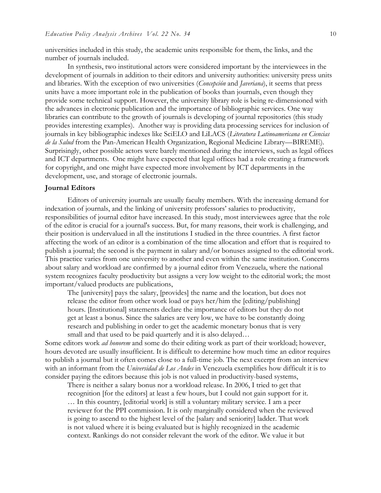universities included in this study, the academic units responsible for them, the links, and the number of journals included.

In synthesis, two institutional actors were considered important by the interviewees in the development of journals in addition to their editors and university authorities: university press units and libraries. With the exception of two universities (*Concepción* and *Javeriana*), it seems that press units have a more important role in the publication of books than journals, even though they provide some technical support. However, the university library role is being re-dimensioned with the advances in electronic publication and the importance of bibliographic services. One way libraries can contribute to the growth of journals is developing of journal repositories (this study provides interesting examples). Another way is providing data processing services for inclusion of journals in key bibliographic indexes like SciELO and LiLACS (*Literatura Latinoamericana en Ciencias de la Salud* from the Pan-American Health Organization, Regional Medicine Library—BIREME). Surprisingly, other possible actors were barely mentioned during the interviews, such as legal offices and ICT departments. One might have expected that legal offices had a role creating a framework for copyright, and one might have expected more involvement by ICT departments in the development, use, and storage of electronic journals.

#### **Journal Editors**

Editors of university journals are usually faculty members. With the increasing demand for indexation of journals, and the linking of university professors' salaries to productivity, responsibilities of journal editor have increased. In this study, most interviewees agree that the role of the editor is crucial for a journal's success. But, for many reasons, their work is challenging, and their position is undervalued in all the institutions I studied in the three countries. A first factor affecting the work of an editor is a combination of the time allocation and effort that is required to publish a journal; the second is the payment in salary and/or bonuses assigned to the editorial work. This practice varies from one university to another and even within the same institution. Concerns about salary and workload are confirmed by a journal editor from Venezuela, where the national system recognizes faculty productivity but assigns a very low weight to the editorial work; the most important/valued products are publications,

The [university] pays the salary, [provides] the name and the location, but does not release the editor from other work load or pays her/him the [editing/publishing] hours. [Institutional] statements declare the importance of editors but they do not get at least a bonus. Since the salaries are very low, we have to be constantly doing research and publishing in order to get the academic monetary bonus that is very small and that used to be paid quarterly and it is also delayed...

Some editors work *ad honorem* and some do their editing work as part of their workload; however, hours devoted are usually insufficient. It is difficult to determine how much time an editor requires to publish a journal but it often comes close to a full-time job. The next excerpt from an interview with an informant from the *Universidad de Los Andes* in Venezuela exemplifies how difficult it is to consider paying the editors because this job is not valued in productivity-based systems,

There is neither a salary bonus nor a workload release. In 2006, I tried to get that recognition [for the editors] at least a few hours, but I could not gain support for it. … In this country, [editorial work] is still a voluntary military service. I am a peer reviewer for the PPI commission. It is only marginally considered when the reviewed is going to ascend to the highest level of the [salary and seniority] ladder. That work is not valued where it is being evaluated but is highly recognized in the academic context. Rankings do not consider relevant the work of the editor. We value it but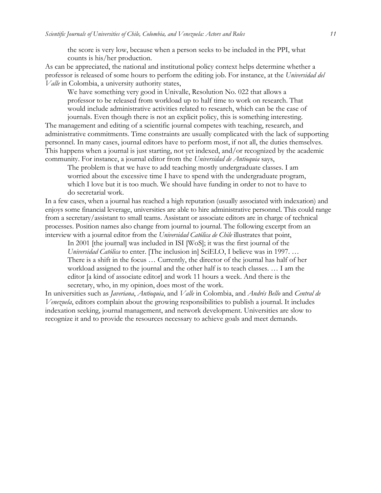the score is very low, because when a person seeks to be included in the PPI, what counts is his/her production.

As can be appreciated, the national and institutional policy context helps determine whether a professor is released of some hours to perform the editing job. For instance, at the *Universidad del Valle* in Colombia, a university authority states,

We have something very good in Univalle, Resolution No. 022 that allows a professor to be released from workload up to half time to work on research. That would include administrative activities related to research, which can be the case of journals. Even though there is not an explicit policy, this is something interesting.

The management and editing of a scientific journal competes with teaching, research, and administrative commitments. Time constraints are usually complicated with the lack of supporting personnel. In many cases, journal editors have to perform most, if not all, the duties themselves. This happens when a journal is just starting, not yet indexed, and/or recognized by the academic community. For instance, a journal editor from the *Universidad de Antioquia* says,

The problem is that we have to add teaching mostly undergraduate classes. I am worried about the excessive time I have to spend with the undergraduate program, which I love but it is too much. We should have funding in order to not to have to do secretarial work.

In a few cases, when a journal has reached a high reputation (usually associated with indexation) and enjoys some financial leverage, universities are able to hire administrative personnel. This could range from a secretary/assistant to small teams. Assistant or associate editors are in charge of technical processes. Position names also change from journal to journal. The following excerpt from an interview with a journal editor from the *Universidad Católica de Chile* illustrates that point,

In 2001 [the journal] was included in ISI [WoS]; it was the first journal of the *Universidad Católica* to enter. [The inclusion in] SciELO, I believe was in 1997. … There is a shift in the focus … Currently, the director of the journal has half of her workload assigned to the journal and the other half is to teach classes. … I am the editor [a kind of associate editor] and work 11 hours a week. And there is the secretary, who, in my opinion, does most of the work.

In universities such as *Javeriana*, *Antioquia*, and *Valle* in Colombia, and *Andrés Bello* and *Central de Venezuela*, editors complain about the growing responsibilities to publish a journal. It includes indexation seeking, journal management, and network development. Universities are slow to recognize it and to provide the resources necessary to achieve goals and meet demands.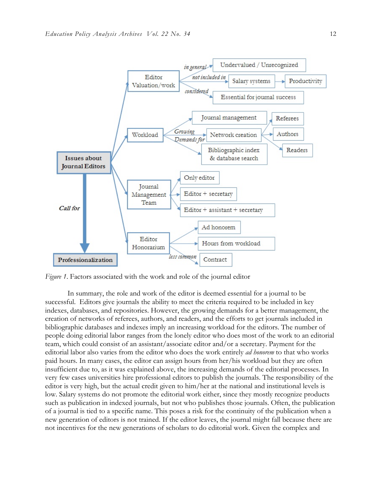

*Figure 1*. Factors associated with the work and role of the journal editor

In summary, the role and work of the editor is deemed essential for a journal to be successful. Editors give journals the ability to meet the criteria required to be included in key indexes, databases, and repositories. However, the growing demands for a better management, the creation of networks of referees, authors, and readers, and the efforts to get journals included in bibliographic databases and indexes imply an increasing workload for the editors. The number of people doing editorial labor ranges from the lonely editor who does most of the work to an editorial team, which could consist of an assistant/associate editor and/or a secretary. Payment for the editorial labor also varies from the editor who does the work entirely *ad honorem* to that who works paid hours. In many cases, the editor can assign hours from her/his workload but they are often insufficient due to, as it was explained above, the increasing demands of the editorial processes. In very few cases universities hire professional editors to publish the journals. The responsibility of the editor is very high, but the actual credit given to him/her at the national and institutional levels is low. Salary systems do not promote the editorial work either, since they mostly recognize products such as publication in indexed journals, but not who publishes those journals. Often, the publication of a journal is tied to a specific name. This poses a risk for the continuity of the publication when a new generation of editors is not trained. If the editor leaves, the journal might fall because there are not incentives for the new generations of scholars to do editorial work. Given the complex and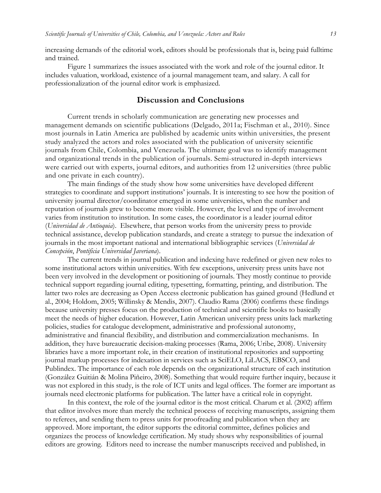increasing demands of the editorial work, editors should be professionals that is, being paid fulltime and trained.

Figure 1 summarizes the issues associated with the work and role of the journal editor. It includes valuation, workload, existence of a journal management team, and salary. A call for professionalization of the journal editor work is emphasized.

# **Discussion and Conclusions**

Current trends in scholarly communication are generating new processes and management demands on scientific publications (Delgado, 2011a; Fischman et al., 2010). Since most journals in Latin America are published by academic units within universities, the present study analyzed the actors and roles associated with the publication of university scientific journals from Chile, Colombia, and Venezuela. The ultimate goal was to identify management and organizational trends in the publication of journals. Semi-structured in-depth interviews were carried out with experts, journal editors, and authorities from 12 universities (three public and one private in each country).

The main findings of the study show how some universities have developed different strategies to coordinate and support institutions' journals. It is interesting to see how the position of university journal director/coordinator emerged in some universities, when the number and reputation of journals grew to become more visible. However, the level and type of involvement varies from institution to institution. In some cases, the coordinator is a leader journal editor (*Universidad de Antioquia*). Elsewhere, that person works from the university press to provide technical assistance, develop publication standards, and create a strategy to pursue the indexation of journals in the most important national and international bibliographic services (*Universidad de Concepción*, *Pontificia Universidad Javeriana*).

The current trends in journal publication and indexing have redefined or given new roles to some institutional actors within universities. With few exceptions, university press units have not been very involved in the development or positioning of journals. They mostly continue to provide technical support regarding journal editing, typesetting, formatting, printing, and distribution. The latter two roles are decreasing as Open Access electronic publication has gained ground (Hedlund et al., 2004; Holdom, 2005; Willinsky & Mendis, 2007). Claudio Rama (2006) confirms these findings because university presses focus on the production of technical and scientific books to basically meet the needs of higher education. However, Latin American university press units lack marketing policies, studies for catalogue development, administrative and professional autonomy, administrative and financial flexibility, and distribution and commercialization mechanisms. In addition, they have bureaucratic decision-making processes (Rama, 2006; Uribe, 2008). University libraries have a more important role, in their creation of institutional repositories and supporting journal markup processes for indexation in services such as SciELO, LiLACS, EBSCO, and Publindex. The importance of each role depends on the organizational structure of each institution (González Guitián & Molina Piñeiro, 2008). Something that would require further inquiry, because it was not explored in this study, is the role of ICT units and legal offices. The former are important as journals need electronic platforms for publication. The latter have a critical role in copyright.

In this context, the role of the journal editor is the most critical. Charum et al. (2002) affirm that editor involves more than merely the technical process of receiving manuscripts, assigning them to referees, and sending them to press units for proofreading and publication when they are approved. More important, the editor supports the editorial committee, defines policies and organizes the process of knowledge certification. My study shows why responsibilities of journal editors are growing. Editors need to increase the number manuscripts received and published, in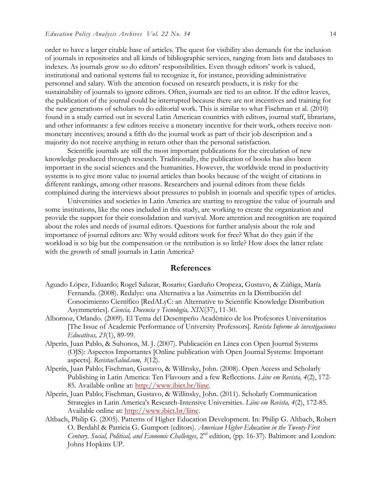order to have a larger citable base of articles. The quest for visibility also demands for the inclusion of journals in repositories and all kinds of bibliographic services, ranging from lists and databases to indexes. As journals grow so do editors' responsibilities. Even though editors' work is valued, institutional and national systems fail to recognize it, for instance, providing administrative personnel and salary. With the attention focused on research products, it is risky for the sustainability of journals to ignore editors. Often, journals are tied to an editor. If the editor leaves, the publication of the journal could be interrupted because there are not incentives and training for the new generations of scholars to do editorial work. This is similar to what Fischman et al. (2010) found in a study carried out in several Latin American countries with editors, journal staff, librarians, and other informants: a few editors receive a monetary incentive for their work, others receive nonmonetary incentives; around a fifth do the journal work as part of their job description and a majority do not receive anything in return other than the personal satisfaction.

Scientific journals are still the most important publications for the circulation of new knowledge produced through research. Traditionally, the publication of books has also been important in the social sciences and the humanities. However, the worldwide trend in productivity systems is to give more value to journal articles than books because of the weight of citations in different rankings, among other reasons. Researchers and journal editors from these fields complained during the interviews about pressures to publish in journals and specific types of articles.

Universities and societies in Latin America are starting to recognize the value of journals and some institutions, like the ones included in this study, are working to create the organization and provide the support for their consolidation and survival. More attention and recognition are required about the roles and needs of journal editors. Questions for further analysis about the role and importance of journal editors are: Why would editors work for free? What do they gain if the workload is so big but the compensation or the retribution is so little? How does the latter relate with the growth of small journals in Latin America?

#### **References**

- Aguado López, Eduardo; Rogel Salazar, Rosario; Garduño Oropeza, Gustavo, & Zúñiga, María Fernanda. (2008). Redalyc: una Alternativa a las Asimetrías en la Distribución del Conocimiento Científico [RedALyC: an Alternative to Scientific Knowledge Distribution Asymmetries]. *Ciencia, Docencia y Tecnología, XIX*(37), 11-30.
- Albornoz, Orlando. (2009). El Tema del Desempeño Académico de los Profesores Universitarios [The Issue of Academic Performance of University Professors]. *Revista Informe de investigaciones Educativas, 23*(1), 89-99.
- Alperín, Juan Pablo, & Suhonos, M. J. (2007). Publicación en Línea con Open Journal Systems (OJS): Aspectos Importantes [Online publication with Open Journal Systems: Important aspects]. *RevistaeSalud.com, 3*(12).
- Alperín, Juan Pablo; Fischman, Gustavo, & Willinsky, John. (2008). Open Access and Scholarly Publishing in Latin America: Ten Flavours and a few Reflections. *Liinc em Revista, 4*(2), 172- 85. Available online at: http://www.ibict.br/liinc.
- Alperín, Juan Pablo; Fischman, Gustavo, & Willinsky, John. (2011). Scholarly Communication Strategies in Latin America's Research-Intensive Universities. *Liinc em Revista, 4*(2), 172-85. Available online at: http://www.ibict.br/liinc.
- Altbach, Philip G. (2005). Patterns of Higher Education Development. In: Philip G. Altbach, Robert O. Berdahl & Patricia G. Gumport (editors). *American Higher Education in the Twenty-First Century. Social, Political, and Economic Challenges*, 2nd edition, (pp. 16-37). Baltimore and London: Johns Hopkins UP.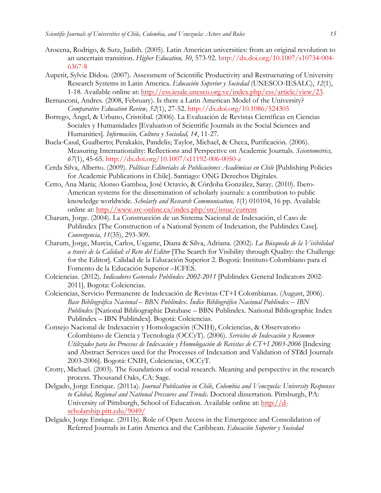- Arocena, Rodrigo, & Sutz, Judith. (2005). Latin American universities: from an original revolution to an uncertain transition. *Higher Education, 50*, 573-92. http://dx.doi.org/10.1007/s10734-004- 6367-8
- Aupetit, Sylvie Didou. (2007). Assessment of Scientific Productivity and Restructuring of University Research Systems in Latin America. *Educación Superior y Sociedad* (UNESCO-IESALC), *12*(1), 1-18. Available online at: http://ess.iesalc.unesco.org.ve/index.php/ess/article/view/23.
- Bernasconi, Andres. (2008, February). Is there a Latin American Model of the University? *Comparative Education Review, 52*(1), 27-52. http://dx.doi.org/10.1086/524305
- Borrego, Ángel, & Urbano, Cristóbal. (2006). La Evaluación de Revistas Científicas en Ciencias Sociales y Humanidades [Evaluation of Scientific Journals in the Social Sciences and Humanities]. *Información, Cultura y Sociedad, 14*, 11-27.
- Buela-Casal, Gualberto; Perakakis, Pandelis; Taylor, Michael, & Checa, Purificación. (2006). Measuring Internationality: Reflections and Perspective on Academic Journals. *Scientometrics, 67*(1), 45-65. http://dx.doi.org/10.1007/s11192-006-0050-z
- Cerda Silva, Alberto. (2009). *Políticas Editoriales de Publicaciones Académicas en Chile* [Publishing Policies for Academic Publications in Chile]. Santiago: ONG Derechos Digitales.
- Cetto, Ana María; Alonso Gamboa, José Octavio, & Córdoba González, Saray. (2010). Ibero-American systems for the dissemination of scholarly journals: a contribution to public knowledge worldwide. *Scholarly and Research Communication, 1*(1) 010104, 16 pp. Available online at: http://www.src-online.ca/index.php/src/issue/current
- Charum, Jorge. (2004). La Construcción de un Sistema Nacional de Indexación, el Caso de Publindex [The Construction of a National System of Indexation, the Publindex Case]. *Convergencia, 11*(35), 293-309.
- Charum, Jorge, Murcia, Carlos, Usgame, Diana & Silva, Adriana. (2002). *La Búsqueda de la Visibilidad a través de la Calidad: el Reto del Editor* [The Search for Visibility through Quality: the Challenge for the Editor]. Calidad de la Educación Superior 2. Bogotá: Instituto Colombiano para el Fomento de la Educación Superior –ICFES.
- Colciencias. (2012). *Indicadores Generales Publindex 2002-2011* [Publindex General Indicators 2002- 2011]. Bogota: Colciencias.
- Colciencias, Servicio Permanente de Indexación de Revistas CT+I Colombianas. (August, 2006). *Base Bibliográfica Nacional – BBN Publindex. Índice Bibliográfico Nacional Publindex – IBN Publindex* [National Bibliographic Database – BBN Publindex. National Bibliographic Index Publindex – IBN Publindex]. Bogotá: Colciencias.
- Consejo Nacional de Indexación y Homologación (CNIH), Colciencias, & Observatorio Colombiano de Ciencia y Tecnología (OCCyT). (2006). *Servicios de Indexación y Resumen Utilizados para los Procesos de Indexación y Homologación de Revistas de CT+I 2003-2006* [Indexing and Abstract Services used for the Processes of Indexation and Validation of ST&I Journals 2003-2006]. Bogotá: CNIH, Colciencias, OCCyT.
- Crotty, Michael. (2003). The foundations of social research. Meaning and perspective in the research process. Thousand Oaks, CA: Sage.
- Delgado, Jorge Enrique. (2011a). *Journal Publication in Chile, Colombia and Venezuela: University Responses to Global, Regional and National Pressures and Trends*. Doctoral dissertation. Pittsburgh, PA: University of Pittsburgh, School of Education. Available online at: http://dscholarship.pitt.edu/9049/
- Delgado, Jorge Enrique. (2011b). Role of Open Access in the Emergence and Consolidation of Referred Journals in Latin America and the Caribbean. *Educación Superior y Sociedad*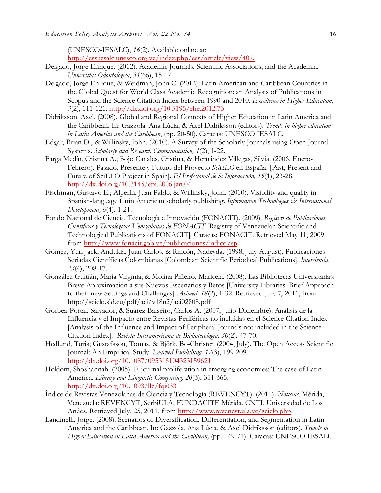(UNESCO-IESALC), *16*(2). Available online at: http://ess.iesalc.unesco.org.ve/index.php/ess/article/view/407.

- Delgado, Jorge Enrique. (2012). Academic Journals, Scientific Associations, and the Academia. *Universitas Odontologica*, *31*(66), 15-17.
- Delgado, Jorge Enrique, & Weidman, John C. (2012). Latin American and Caribbean Countries in the Global Quest for World Class Academic Recognition: an Analysis of Publications in Scopus and the Science Citation Index between 1990 and 2010. *Excellence in Higher Education, 3*(2), 111-121. http://dx.doi.org/10.5195/ehe.2012.73
- Didriksson, Axel. (2008). Global and Regional Contexts of Higher Education in Latin America and the Caribbean. In: Gazzola, Ana Lúcia, & Axel Didriksson (editors). *Trends in higher education in Latin America and the Caribbean*, (pp. 20-50). Caracas: UNESCO IESALC.
- Edgar, Brian D., & Willinsky, John. (2010). A Survey of the Scholarly Journals using Open Journal Systems. *Scholarly and Research Communication, 1*(2), 1-22.
- Farga Medín, Cristina A.; Bojo Canales, Cristina, & Hernández Villegas, Silvia. (2006, Enero-Febrero). Pasado, Presente y Futuro del Proyecto *SciELO* en España. [Past, Present and Future of SciELO Project in Spain]. *El Profesional de la Información, 15*(1), 23-28. http://dx.doi.org/10.3145/epi.2006.jan.04
- Fischman, Gustavo E.; Alperín, Juan Pablo, & Willinsky, John. (2010). Visibility and quality in Spanish-language Latin American scholarly publishing. *Information Technologies & International Development, 6*(4), 1-21.
- Fondo Nacional de Ciencia, Tecnología e Innovación (FONACIT). (2009). *Registro de Publicaciones Científicas y Tecnológicas Venezolanas de FONACIT* [Registry of Venezuelan Scientific and Technological Publications of FONACIT]. Caracas: FONACIT. Retrieved May 11, 2009, from http://www.fonacit.gob.ve/publicaciones/indice.asp.
- Gómez, Yuri Jack; Andukia, Juan Carlos, & Rincón, Nadeyda. (1998, July-August). Publicaciones Seriadas Científicas Colombianas [Colombian Scientific Periodical Publications]. *Interciencia, 23*(4), 208-17.
- González Guitián, María Virginia, & Molina Piñeiro, Maricela. (2008). Las Bibliotecas Universitarias: Breve Aproximación a sus Nuevos Escenarios y Retos [University Libraries: Brief Approach to their new Settings and Challenges]. *Acimed, 18*(2), 1-32. Retrieved July 7, 2011, from http://scielo.sld.cu/pdf/aci/v18n2/aci02808.pdf
- Gorbea-Portal, Salvador, & Suárez-Balseiro, Carlos A. (2007, Julio-Diciembre). Análisis de la Influencia y el Impacto entre Revistas Periféricas no incluidas en el Science Citation Index [Analysis of the Influence and Impact of Peripheral Journals not included in the Science Citation Index]. *Revista Interamericana de Bibliotecología, 30*(2), 47-70.
- Hedlund, Turis; Gustafsson, Tomas, & Björk, Bo-Christer. (2004, July). The Open Access Scientific Journal: An Empirical Study. *Learned Publishing, 17*(3), 199-209. http://dx.doi.org/10.1087/095315104323159621
- Holdom, Shoshannah. (2005). E-journal proliferation in emerging economies: The case of Latin America. *Library and Linguistic Computing, 20*(3), 351-365. http://dx.doi.org/10.1093/llc/fqi033
- Índice de Revistas Venezolanas de Ciencia y Tecnología (REVENCYT). (2011). *Noticias*. Mérida, Venezuela: REVENCYT, SerbiULA, FUNDACITE Mérida, CNTI, Universidad de Los Andes. Retrieved July, 25, 2011, from http://www.revencyt.ula.ve/scielo.php.
- Landinelli, Jorge. (2008). Scenarios of Diversification, Differentiation, and Segmentation in Latin America and the Caribbean. In: Gazzola, Ana Lúcia, & Axel Didriksson (editors). *Trends in Higher Education in Latin America and the Caribbean,* (pp. 149-71). Caracas: UNESCO IESALC.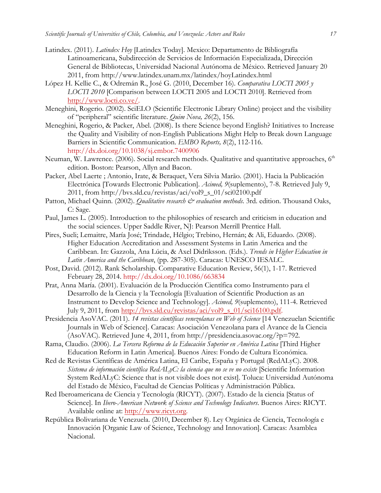- Latindex. (2011). *Latindex Hoy* [Latindex Today]. Mexico: Departamento de Bibliografía Latinoamericana, Subdirección de Servicios de Información Especializada, Dirección General de Bibliotecas, Universidad Nacional Autónoma de México. Retrieved January 20 2011, from http://www.latindex.unam.mx/latindex/hoyLatindex.html
- López H. Kellie C., & Odremán R., José G. (2010, December 16). *Comparativa LOCTI 2005 y LOCTI 2010* [Comparison between LOCTI 2005 and LOCTI 2010]. Retrieved from http://www.locti.co.ve/.
- Meneghini, Rogerio. (2002). SciELO (Scientific Electronic Library Online) project and the visibility of "peripheral" scientific literature. *Quim Nova, 26*(2), 156.
- Meneghini, Rogerio, & Packer, Abel. (2008). Is there Science beyond English? Initiatives to Increase the Quality and Visibility of non-English Publications Might Help to Break down Language Barriers in Scientific Communication. *EMBO Reports, 8*(2), 112-116. http://dx.doi.org/10.1038/sj.embor.7400906
- Neuman, W. Lawrence. (2006). Social research methods. Qualitative and quantitative approaches,  $6<sup>th</sup>$ edition. Boston: Pearson, Allyn and Bacon.
- Packer, Abel Laerte ; Antonio, Irate, & Beraquet, Vera Silvia Marão. (2001). Hacia la Publicación Electrónica [Towards Electronic Publication]. *Acimed, 9*(suplemento), 7-8. Retrieved July 9, 2011, from http://bvs.sld.cu/revistas/aci/vol9\_s\_01/sci02100.pdf
- Patton, Michael Quinn. (2002). *Qualitative research & evaluation methods*. 3rd. edition. Thousand Oaks, C: Sage.
- Paul, James L. (2005). Introduction to the philosophies of research and criticism in education and the social sciences. Upper Saddle River, NJ: Pearson Merrill Prentice Hall.
- Pires, Sueli; Lemaitre, María José; Trindade, Hélgio; Trebino, Hernán; & Ali, Eduardo. (2008). Higher Education Accreditation and Assessment Systems in Latin America and the Caribbean. In: Gazzola, Ana Lúcia, & Axel Didriksson. (Eds.). *Trends in Higher Education in Latin America and the Caribbean*, (pp. 287-305). Caracas: UNESCO IESALC.
- Post, David. (2012). Rank Scholarship. Comparative Education Review, 56(1), 1-17. Retrieved February 28, 2014. http://dx.doi.org/10.1086/663834
- Prat, Anna María. (2001). Evaluación de la Producción Científica como Instrumento para el Desarrollo de la Ciencia y la Tecnología [Evaluation of Scientific Production as an Instrument to Develop Science and Technology]. *Acimed, 9*(suplemento), 111-4. Retrieved July 9, 2011, from http://bvs.sld.cu/revistas/aci/vol9\_s\_01/sci16100.pdf.
- Presidencia AsoVAC. (2011). *14 revistas científicas venezolanas en Web of Science* [14 Venezuelan Scientific Journals in Web of Science]. Caracas: Asociación Venezolana para el Avance de la Ciencia (AsoVAC). Retrieved June 4, 2011, from http://presidencia.asovac.org/?p=792.
- Rama, Claudio. (2006). *La Tercera Reforma de la Educación Superior en América Latina* [Third Higher Education Reform in Latin America]. Buenos Aires: Fondo de Cultura Económica.
- Red de Revistas Científicas de América Latina, El Caribe, España y Portugal (RedALyC). 2008. *Sistema de información científica RedALyC: la ciencia que no se ve no existe* [Scientific Information System RedALyC: Science that is not visible does not exist]. Toluca: Universidad Autónoma del Estado de México, Facultad de Ciencias Políticas y Administración Pública.
- Red Iberoamericana de Ciencia y Tecnología (RICYT). (2007). Estado de la ciencia [Status of Science]. In *Ibero-American Network of Science and Technology Indicators*. Buenos Aires: RICYT. Available online at: http://www.ricyt.org.
- República Bolivariana de Venezuela. (2010, December 8). Ley Orgánica de Ciencia, Tecnología e Innovación [Organic Law of Science, Technology and Innovation]. Caracas: Asamblea Nacional.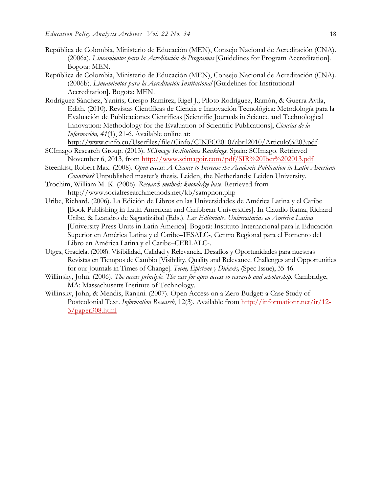- República de Colombia, Ministerio de Educación (MEN), Consejo Nacional de Acreditación (CNA). (2006a). *Lineamientos para la Acreditación de Programas* [Guidelines for Program Accreditation]. Bogota: MEN.
- República de Colombia, Ministerio de Educación (MEN), Consejo Nacional de Acreditación (CNA). (2006b). *Lineamientos para la Acreditación Institucional* [Guidelines for Institutional Accreditation]. Bogota: MEN.
- Rodríguez Sánchez, Yaniris; Crespo Ramírez, Rigel J.; Piloto Rodríguez, Ramón, & Guerra Avila, Edith. (2010). Revistas Científicas de Ciencia e Innovación Tecnológica: Metodología para la Evaluación de Publicaciones Científicas [Scientific Journals in Science and Technological Innovation: Methodology for the Evaluation of Scientific Publications], *Ciencias de la Información, 41*(1), 21-6. Available online at:

http://www.cinfo.cu/Userfiles/file/Cinfo/CINFO2010/abril2010/Articulo%203.pdf

- SCImago Research Group. (2013). *SCImago Institutions Rankings*. Spain: SCImago. Retrieved November 6, 2013, from http://www.scimagoir.com/pdf/SIR%20Iber%202013.pdf
- Steenkist, Robert Max. (2008). *Open access: A Chance to Increase the Academic Publication in Latin American Countries?* Unpublished master's thesis. Leiden, the Netherlands: Leiden University.
- Trochim, William M. K. (2006). *Research methods knowledge base*. Retrieved from http://www.socialresearchmethods.net/kb/sampnon.php
- Uribe, Richard. (2006). La Edición de Libros en las Universidades de América Latina y el Caribe [Book Publishing in Latin American and Caribbean Universities]. In Claudio Rama, Richard Uribe, & Leandro de Sagastizábal (Eds.). *Las Editoriales Universitarias en América Latina* [University Press Units in Latin America]*.* Bogotá: Instituto Internacional para la Educación Superior en América Latina y el Caribe–IESALC-, Centro Regional para el Fomento del Libro en América Latina y el Caribe–CERLALC-.
- Utges, Graciela. (2008). Visibilidad, Calidad y Relevancia. Desafíos y Oportunidades para nuestras Revistas en Tiempos de Cambio [Visibility, Quality and Relevance. Challenges and Opportunities for our Journals in Times of Change]. *Tecne, Episteme y Didaxis,* (Spec Issue), 35-46.
- Willinsky, John. (2006). *The access principle*. *The case for open access to research and scholarship*. Cambridge, MA: Massachusetts Institute of Technology.
- Willinsky, John, & Mendis, Ranjini. (2007). Open Access on a Zero Budget: a Case Study of Postcolonial Text. *Information Research*, 12(3). Available from http://informationr.net/ir/12- 3/paper308.html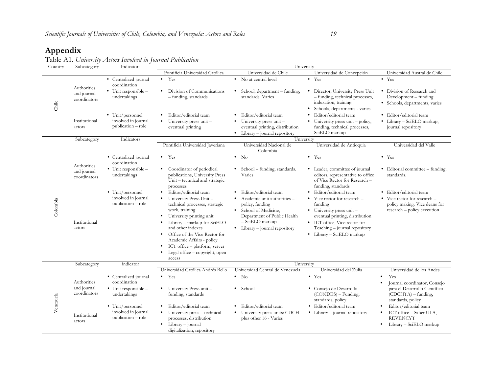# **Appendix**

Table A1. *University Actors Involved in Journal Publication*

| Country   | Subcategory                 | Indicators                                   | University                                                                                                                                                                                  |                                                                                                          |                                                                                                                                  |                                                                                              |
|-----------|-----------------------------|----------------------------------------------|---------------------------------------------------------------------------------------------------------------------------------------------------------------------------------------------|----------------------------------------------------------------------------------------------------------|----------------------------------------------------------------------------------------------------------------------------------|----------------------------------------------------------------------------------------------|
|           |                             |                                              | Pontificia Universidad Católica                                                                                                                                                             | Universidad de Chile                                                                                     | Universidad de Concepción                                                                                                        | Universidad Austral de Chile                                                                 |
|           | Authorities                 | • Centralized journal<br>coordination        | $\bullet$ Yes                                                                                                                                                                               | • No at central level                                                                                    | $\bullet$ Yes                                                                                                                    | $\bullet$ Yes                                                                                |
| Chile     | and journal<br>coordinators | • Unit responsible -<br>undertakings         | Division of Communications<br>- funding, standards                                                                                                                                          | • School, department – funding,<br>standards. Varies                                                     | · Director, University Press Unit<br>- funding, technical processes,<br>indexation, training.<br>• Schools, departments - varies | • Division of Research and<br>Development - funding<br>• Schools, departments, varies        |
|           |                             | • Unit/personnel                             | Editor/editorial team                                                                                                                                                                       | Editor/editorial team                                                                                    | Editor/editorial team<br>$\bullet$                                                                                               | · Editor/editorial team                                                                      |
|           | Institutional<br>actors     | involved in journal<br>publication - role    | University press unit-<br>$\bullet$<br>eventual printing                                                                                                                                    | University press unit -<br>$\bullet$<br>eventual printing, distribution<br>Library - journal repository  | University press unit – policy,<br>$\bullet$<br>funding, technical processes,<br>SciELO markup                                   | · Library - SciELO markup,<br>journal repository                                             |
|           | Subcategory                 | Indicators                                   | University                                                                                                                                                                                  |                                                                                                          |                                                                                                                                  |                                                                                              |
|           |                             |                                              | Pontificia Universidad Javeriana                                                                                                                                                            | Universidad Nacional de<br>Colombia                                                                      | Universidad de Antioquia                                                                                                         | Universidad del Valle                                                                        |
|           | Authorities                 | • Centralized journal<br>coordination        | $\bullet$ Yes                                                                                                                                                                               | $\bullet$ No                                                                                             | $\bullet$ Yes                                                                                                                    | $\bullet$ Yes                                                                                |
|           | and journal<br>coordinators | • Unit responsible -<br>undertakings         | Coordinator of periodical<br>٠<br>publications, University Press<br>Unit - technical and strategic<br>processes                                                                             | School – funding, standards.<br>$\bullet$<br>Varies                                                      | • Leader, committee of journal<br>editors, representative to office<br>of Vice Rector for Research -<br>funding, standards       | • Editorial committee – funding,<br>standards.                                               |
|           |                             | • Unit/personnel                             | Editor/editorial team                                                                                                                                                                       | Editor/editorial team                                                                                    | · Editor/editorial team                                                                                                          | · Editor/editorial team                                                                      |
| Colombia  |                             | involved in journal<br>publication - role    | University Press Unit-<br>technical processes, strategic<br>work, training<br>University printing unit                                                                                      | • Academic unit authorities -<br>policy, funding<br>• School of Medicine,<br>Department of Public Health | • Vice rector for research -<br>funding<br>$\bullet$ University press unit –<br>eventual printing, distribution                  | • Vice rector for research -<br>policy making. Vice deans for<br>research - policy execution |
|           | Institutional<br>actors     |                                              | Library - markup for SciELO<br>and other indexes<br>Office of the Vice Rector for<br>Academic Affairs - policy<br>ICT office - platform, server<br>Legal office – copyright, open<br>access | - SciELO markup<br>$\bullet$ Library – journal repository                                                | • ICT office, Vice rector for<br>Teaching - journal repository<br>• Library – SciELO markup                                      |                                                                                              |
|           | Subcategory                 | indicator                                    | University                                                                                                                                                                                  |                                                                                                          |                                                                                                                                  |                                                                                              |
|           |                             |                                              | Universidad Católica Andrés Bello                                                                                                                                                           | Universidad Central de Venezuela                                                                         | Universidad del Zulia                                                                                                            | Universidad de los Andes                                                                     |
| Venezuela | Authorities                 | • Centralized journal<br>coordination        | $\bullet$ Yes                                                                                                                                                                               | $\bullet$ No                                                                                             | $\bullet$ Yes                                                                                                                    | Yes<br>$\bullet$<br>Journal coordinator, Consejo                                             |
|           | and journal<br>coordinators | $\bullet$ Unit responsible –<br>undertakings | University Press unit-<br>funding, standards                                                                                                                                                | School<br>٠                                                                                              | • Consejo de Desarrollo<br>(CONDES) – Funding,<br>standards, policy                                                              | para el Desarrollo Científico<br>$(CDCHTA)$ – funding,<br>standards, policy                  |
|           |                             | • Unit/personnel                             | Editor/editorial team                                                                                                                                                                       | Editor/editorial team                                                                                    | · Editor/editorial team                                                                                                          | Editor/editorial team                                                                        |
|           | Institutional<br>actors     | involved in journal<br>publication - role    | University press - technical<br>processes, distribution<br>Library - journal<br>digitalization, repository                                                                                  | University press units: CDCH<br>plus other 16 - Varies                                                   | $\bullet$ Library – journal repository                                                                                           | ICT office - Saber ULA,<br><b>REVENCYT</b><br>Library - SciELO markup                        |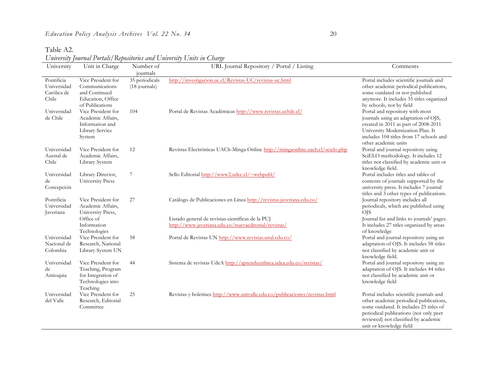Table A2.

*University Journal Portals/Repositories and University Units in Charge*

| University                                        | Unit in Charge                                                                                 | Number of                       | URL Journal Repository / Portal / Listing                                                                                 | Comments                                                                                                                                                                                                                                   |
|---------------------------------------------------|------------------------------------------------------------------------------------------------|---------------------------------|---------------------------------------------------------------------------------------------------------------------------|--------------------------------------------------------------------------------------------------------------------------------------------------------------------------------------------------------------------------------------------|
|                                                   |                                                                                                | journals                        |                                                                                                                           |                                                                                                                                                                                                                                            |
| Pontificia<br>Universidad<br>Católica de<br>Chile | Vice President for<br>Communications<br>and Continued<br>Education, Office<br>of Publications  | 35 periodicals<br>(18 journals) | http://investigacion.uc.cl/Revistas-UC/revistas-uc.html                                                                   | Portal includes scientific journals and<br>other academic periodical publications,<br>some outdated or not published<br>anymore. It includes 35 titles organized<br>by schools, not by field                                               |
| Universidad<br>de Chile                           | Vice President for<br>Academic Affairs,<br>Information and<br>Library Service<br>System        | 104                             | Portal de Revistas Académicas http://www.revistas.uchile.cl/                                                              | Portal and repository with most<br>journals using an adaptation of OJS,<br>created in 2011 as part of 2008-2011<br>University Modernization Plan. It<br>includes 104 titles from 17 schools and<br>other academic units                    |
| Universidad<br>Austral de<br>Chile                | Vice President for<br>Academic Affairs,<br>Library System                                      | 12                              | Revistas Electrónicas UACh-Minga Online http://mingaonline.uach.cl/scielo.php                                             | Portal and journal repository using<br>SciELO methodology. It includes 12<br>titles not classified by academic unit or<br>knowledge field.                                                                                                 |
| Universidad<br>de<br>Concepción                   | Library Director,<br><b>University Press</b>                                                   | 7                               | Sello Editorial http://www2.udec.cl/~webpubl/                                                                             | Portal includes titles and tables of<br>contents of journals supported by the<br>university press. It includes 7 journal<br>titles and 3 other types of publications.                                                                      |
| Pontificia<br>Universidad<br>Javeriana            | Vice President for<br>Academic Affairs,<br>University Press,<br>Office of                      | 27                              | Catálogo de Publicaciones en Línea http://revistas.javeriana.edu.co/<br>Listado general de revistas científicas de la PUJ | Journal repository includes all<br>periodicals, which are published using<br><b>OJS</b><br>Journal list and links to journals' pages.                                                                                                      |
|                                                   | Information<br>Technologies                                                                    |                                 | http://www.javeriana.edu.co/nuevaeditorial/revistas/                                                                      | It includes 27 titles organized by areas<br>of knowledge                                                                                                                                                                                   |
| Universidad<br>Nacional de<br>Colombia            | Vice President for<br>Research, National<br>Library System UN                                  | 58                              | Portal de Revistas UN http://www.revistas.unal.edu.co/                                                                    | Portal and journal repository using an<br>adaptation of OJS. It includes 58 titles<br>not classified by academic unit or<br>knowledge field.                                                                                               |
| Universidad<br>de<br>Antioquia                    | Vice President for<br>Teaching, Program<br>for Integration of<br>Technologies into<br>Teaching | 44                              | Sistema de revistas UdeA http://aprendeenlinea.udea.edu.co/revistas/                                                      | Portal and journal repository using an<br>adaptation of OJS. It includes 44 titles<br>not classified by academic unit or<br>knowledge field                                                                                                |
| Universidad<br>del Valle                          | Vice President for<br>Research, Editorial<br>Committee                                         | 25                              | Revistas y boletines http://www.univalle.edu.co/publicaciones/revistas.html                                               | Portal includes scientific journals and<br>other academic periodical publications,<br>some outdated. It includes 25 titles of<br>periodical publications (not only peer<br>reviewed) not classified by academic<br>unit or knowledge field |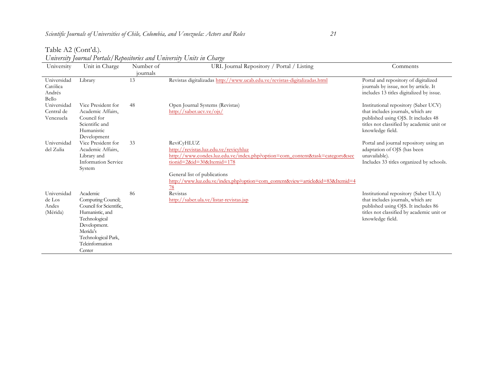#### Table A2 (Cont'd.).

| University                                 | Unit in Charge                                                                                                                                                                | Number of | Chronory formal I change Ixpositorios and Chronory Chine in Change<br>URL Journal Repository / Portal / Listing                                                                                                                                                                                      | Comments                                                                                                                                                                          |
|--------------------------------------------|-------------------------------------------------------------------------------------------------------------------------------------------------------------------------------|-----------|------------------------------------------------------------------------------------------------------------------------------------------------------------------------------------------------------------------------------------------------------------------------------------------------------|-----------------------------------------------------------------------------------------------------------------------------------------------------------------------------------|
|                                            |                                                                                                                                                                               | journals  |                                                                                                                                                                                                                                                                                                      |                                                                                                                                                                                   |
| Universidad<br>Católica<br>Andrés<br>Bello | Library                                                                                                                                                                       | 13        | Revistas digitalizadas http://www.ucab.edu.ve/revistas-digitalizadas.html                                                                                                                                                                                                                            | Portal and repository of digitalized<br>journals by issue, not by article. It<br>includes 13 titles digitalized by issue.                                                         |
| Universidad<br>Central de<br>Venezuela     | Vice President for<br>Academic Affairs,<br>Council for<br>Scientific and<br>Humanistic<br>Development                                                                         | 48        | Open Journal Systems (Revistas)<br>http://saber.ucv.ve/ojs/                                                                                                                                                                                                                                          | Institutional repository (Saber UCV)<br>that includes journals, which are<br>published using OJS. It includes 48<br>titles not classified by academic unit or<br>knowledge field. |
| Universidad<br>del Zulia                   | Vice President for<br>Academic Affairs,<br>Library and<br><b>Information Service</b><br>System                                                                                | 33        | ReviCyHLUZ<br>http://revistas.luz.edu.ve/revicyhluz<br>http://www.condes.luz.edu.ve/index.php?option=com_content&task=category&sec<br>tionid=2&id=30&Itemid=178<br>General list of publications<br>http://www.luz.edu.ve/index.php?option=com_content&view=article&id=83&Itemid=4<br>$\overline{78}$ | Portal and journal repository using an<br>adaptation of OJS (has been<br>unavailable).<br>Includes 33 titles organized by schools.                                                |
| Universidad<br>de Los<br>Andes<br>(Mérida) | Academic<br>Computing Council;<br>Council for Scientific,<br>Humanistic, and<br>Technological<br>Development.<br>Merida's<br>Technological Park,<br>Teleinformation<br>Center | 86        | Revistas<br>http://saber.ula.ve/listar-revistas.jsp                                                                                                                                                                                                                                                  | Institutional repository (Saber ULA)<br>that includes journals, which are<br>published using OJS. It includes 86<br>titles not classified by academic unit or<br>knowledge field. |

#### *University Journal Portals/Repositories and University Units in Charge*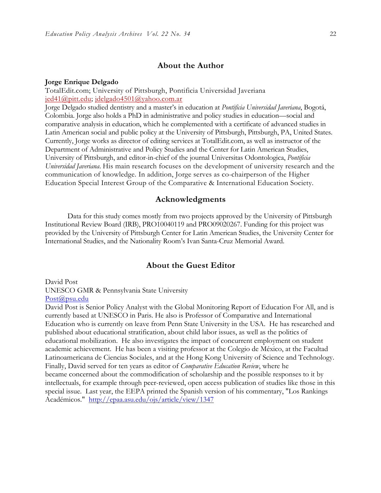## **About the Author**

#### **Jorge Enrique Delgado**

TotalEdit.com; University of Pittsburgh, Pontificia Universidad Javeriana jed41@pitt.edu; jdelgado4501@yahoo.com.ar

Jorge Delgado studied dentistry and a master's in education at *Pontificia Universidad Javeriana*, Bogotá, Colombia. Jorge also holds a PhD in administrative and policy studies in education—social and comparative analysis in education, which he complemented with a certificate of advanced studies in Latin American social and public policy at the University of Pittsburgh, Pittsburgh, PA, United States. Currently, Jorge works as director of editing services at TotalEdit.com, as well as instructor of the Department of Administrative and Policy Studies and the Center for Latin American Studies, University of Pittsburgh, and editor-in-chief of the journal Universitas Odontologica, *Pontificia Universidad Javeriana*. His main research focuses on the development of university research and the communication of knowledge. In addition, Jorge serves as co-chairperson of the Higher Education Special Interest Group of the Comparative & International Education Society.

#### **Acknowledgments**

Data for this study comes mostly from two projects approved by the University of Pittsburgh Institutional Review Board (IRB), PRO10040119 and PRO09020267. Funding for this project was provided by the University of Pittsburgh Center for Latin American Studies, the University Center for International Studies, and the Nationality Room's Ivan Santa-Cruz Memorial Award.

# **About the Guest Editor**

## David Post UNESCO GMR & Pennsylvania State University

#### Post@psu.edu

David Post is Senior Policy Analyst with the Global Monitoring Report of Education For All, and is currently based at UNESCO in Paris. He also is Professor of Comparative and International Education who is currently on leave from Penn State University in the USA. He has researched and published about educational stratification, about child labor issues, as well as the politics of educational mobilization. He also investigates the impact of concurrent employment on student academic achievement. He has been a visiting professor at the Colegio de México, at the Facultad Latinoamericana de Ciencias Sociales, and at the Hong Kong University of Science and Technology. Finally, David served for ten years as editor of *Comparative Education Review*, where he became concerned about the commodification of scholarship and the possible responses to it by intellectuals, for example through peer-reviewed, open access publication of studies like those in this special issue. Last year, the EEPA printed the Spanish version of his commentary, "Los Rankings Académicos." http://epaa.asu.edu/ojs/article/view/1347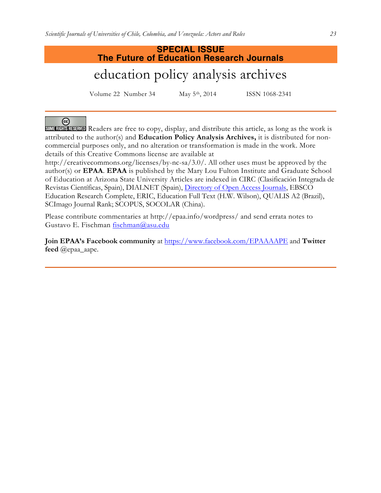# **SPECIAL ISSUE The Future of Education Research Journals** education policy analysis archives

Volume 22 Number 34 May 5th, 2014 ISSN 1068-2341

☺ SOME RIGHTS RESERVED Readers are free to copy, display, and distribute this article, as long as the work is attributed to the author(s) and **Education Policy Analysis Archives,** it is distributed for noncommercial purposes only, and no alteration or transformation is made in the work. More details of this Creative Commons license are available at

http://creativecommons.org/licenses/by-nc-sa/3.0/. All other uses must be approved by the author(s) or **EPAA**. **EPAA** is published by the Mary Lou Fulton Institute and Graduate School of Education at Arizona State University Articles are indexed in CIRC (Clasificación Integrada de Revistas Científicas, Spain), DIALNET (Spain), Directory of Open Access Journals, EBSCO Education Research Complete, ERIC, Education Full Text (H.W. Wilson), QUALIS A2 (Brazil), SCImago Journal Rank; SCOPUS, SOCOLAR (China).

Please contribute commentaries at http://epaa.info/wordpress/ and send errata notes to Gustavo E. Fischman fischman@asu.edu

**Join EPAA's Facebook community** at https://www.facebook.com/EPAAAAPE and **Twitter feed** @epaa\_aape.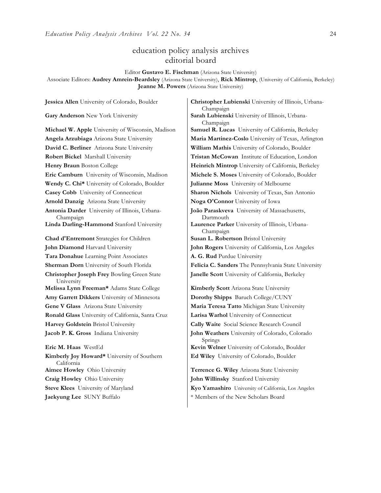# education policy analysis archives editorial board

Editor **Gustavo E. Fischman** (Arizona State University)

Associate Editors: **Audrey Amrein-Beardsley** (Arizona State University), **Rick Mintrop**, (University of California, Berkeley) **Jeanne M. Powers** (Arizona State University)

**Gary Anderson** New York University **Sarah Lubienski University of Illinois**, Urbana-**Michael W. Apple** University of Wisconsin, Madison **Samuel R. Lucas** University of California, Berkeley **Angela Arzubiaga** Arizona State University **Maria Martinez-Coslo** University of Texas, Arlington **David C. Berliner** Arizona State University **William Mathis** University of Colorado, Boulder **Robert Bickel** Marshall University **Tristan McCowan** Institute of Education, London **Henry Braun** Boston College **Heinrich Mintrop** University of California, Berkeley **Eric Camburn** University of Wisconsin, Madison **Michele S. Moses** University of Colorado, Boulder **Wendy C. Chi\*** University of Colorado, Boulder **Julianne Moss** University of Melbourne **Casey Cobb** University of Connecticut **Sharon Nichols** University of Texas, San Antonio **Arnold Danzig** Arizona State University **Noga O'Connor** University of Iowa **Antonia Darder** University of Illinois, Urbana-Champaign **Linda Darling-Hammond** Stanford University **Laurence Parker** University of Illinois, Urbana-**Chad d'Entremont** Strategies for Children | Susan L. Robertson Bristol University **John Diamond** Harvard University **John Rogers** University of California, Los Angeles **Tara Donahue** Learning Point Associates **A. G. Rud** Purdue University **Sherman Dorn** University of South Florida **Felicia C. Sanders** The Pennsylvania State University **Christopher Joseph Frey** Bowling Green State University **Melissa Lynn Freeman\*** Adams State College **Kimberly Scott** Arizona State University **Amy Garrett Dikkers** University of Minnesota **Dorothy Shipps** Baruch College/CUNY **Gene V Glass** Arizona State University **Maria Teresa Tatto** Michigan State University **Ronald Glass** University of California, Santa Cruz **Larisa Warhol** University of Connecticut **Harvey Goldstein** Bristol University **Cally Waite** Social Science Research Council **Jacob P. K. Gross** Indiana University **John Weathers** University of Colorado, Colorado **Eric M. Haas** WestEd **Kevin Welner** University of Colorado, Boulder **Kimberly Joy Howard\*** University of Southern California **Aimee Howley** Ohio University **Terrence G. Wiley** Arizona State University **Craig Howley** Ohio University **John Willinsky** Stanford University **Steve Klees** University of Maryland **Kyo Yamashiro** University of California, Los Angeles

**Jessica Allen** University of Colorado, Boulder **Christopher Lubienski** University of Illinois, Urbana-Champaign Champaign **João Paraskveva** University of Massachusetts, Dartmouth Champaign **Janelle Scott** University of California, Berkeley Springs

**Ed Wiley** University of Colorado, Boulder

**Jaekyung Lee** SUNY Buffalo  $*$  Members of the New Scholars Board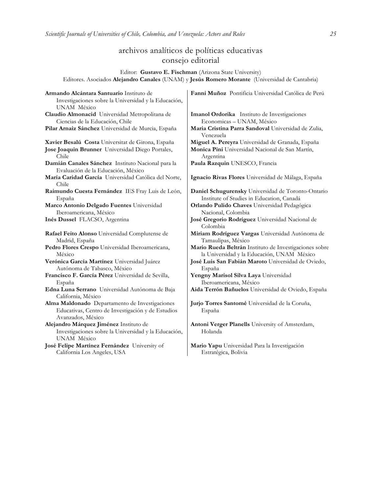# archivos analíticos de políticas educativas consejo editorial

Editor: **Gustavo E. Fischman** (Arizona State University) Editores. Asociados **Alejandro Canales** (UNAM) y **Jesús Romero Morante** (Universidad de Cantabria)

| Armando Alcántara Santuario Instituto de<br>Investigaciones sobre la Universidad y la Educación,<br>UNAM México          | Fanni Muñoz Pontificia Universidad Católica de Perú                                                  |
|--------------------------------------------------------------------------------------------------------------------------|------------------------------------------------------------------------------------------------------|
| Claudio Almonacid Universidad Metropolitana de                                                                           | Imanol Ordorika Instituto de Investigaciones                                                         |
| Ciencias de la Educación, Chile                                                                                          | Economicas - UNAM, México                                                                            |
| Pilar Arnaiz Sánchez Universidad de Murcia, España                                                                       | Maria Cristina Parra Sandoval Universidad de Zulia,<br>Venezuela                                     |
| Xavier Besalú Costa Universitat de Girona, España                                                                        | Miguel A. Pereyra Universidad de Granada, España                                                     |
| Jose Joaquin Brunner Universidad Diego Portales,<br>Chile                                                                | Monica Pini Universidad Nacional de San Martín,<br>Argentina                                         |
| Damián Canales Sánchez Instituto Nacional para la<br>Evaluación de la Educación, México                                  | Paula Razquin UNESCO, Francia                                                                        |
| María Caridad García Universidad Católica del Norte,<br>Chile                                                            | Ignacio Rivas Flores Universidad de Málaga, España                                                   |
| Raimundo Cuesta Fernández IES Fray Luis de León,<br>España                                                               | Daniel Schugurensky Universidad de Toronto-Ontario<br>Institute of Studies in Education, Canadá      |
| Marco Antonio Delgado Fuentes Universidad<br>Iberoamericana, México                                                      | Orlando Pulido Chaves Universidad Pedagógica<br>Nacional, Colombia                                   |
| Inés Dussel FLACSO, Argentina                                                                                            | José Gregorio Rodríguez Universidad Nacional de<br>Colombia                                          |
| Rafael Feito Alonso Universidad Complutense de<br>Madrid, España                                                         | Miriam Rodríguez Vargas Universidad Autónoma de<br>Tamaulipas, México                                |
| Pedro Flores Crespo Universidad Iberoamericana,<br>México                                                                | Mario Rueda Beltrán Instituto de Investigaciones sobre<br>la Universidad y la Educación, UNAM México |
| Verónica García Martínez Universidad Juárez<br>Autónoma de Tabasco, México                                               | José Luis San Fabián Maroto Universidad de Oviedo,<br>España                                         |
| Francisco F. García Pérez Universidad de Sevilla,<br>España                                                              | Yengny Marisol Silva Laya Universidad<br>Iberoamericana, México                                      |
| Edna Luna Serrano Universidad Autónoma de Baja<br>California, México                                                     | Aida Terrón Bañuelos Universidad de Oviedo, España                                                   |
| Alma Maldonado Departamento de Investigaciones<br>Educativas, Centro de Investigación y de Estudios<br>Avanzados, México | Jurjo Torres Santomé Universidad de la Coruña,<br>España                                             |
| Alejandro Márquez Jiménez Instituto de<br>Investigaciones sobre la Universidad y la Educación,<br>UNAM México            | Antoni Verger Planells University of Amsterdam,<br>Holanda                                           |
| José Felipe Martínez Fernández University of<br>California Los Angeles, USA                                              | Mario Yapu Universidad Para la Investigación<br>Estratégica, Bolivia                                 |